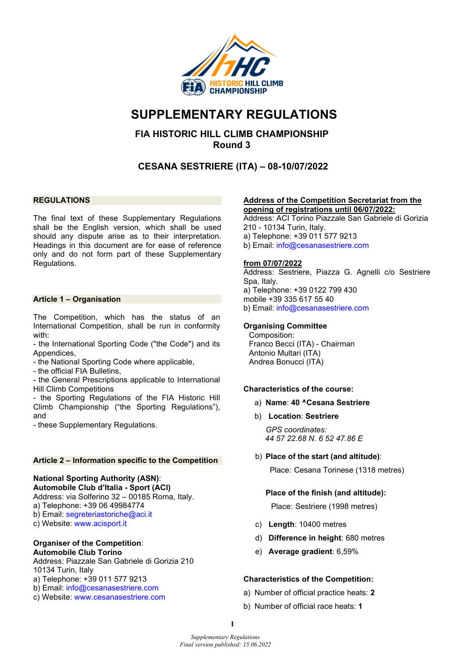

# **SUPPLEMENTARY REGULATIONS**

# **FIA HISTORIC HILL CLIMB CHAMPIONSHIP Round 3**

# **CESANA SESTRIERE (ITA) – 08-10/07/2022**

#### **REGULATIONS**

The final text of these Supplementary Regulations shall be the English version, which shall be used should any dispute arise as to their interpretation. Headings in this document are for ease of reference only and do not form part of these Supplementary Regulations.

#### **Article 1 – Organisation**

The Competition, which has the status of an International Competition, shall be run in conformity with:

- the International Sporting Code ("the Code") and its Appendices,
- the National Sporting Code where applicable,
- the official FIA Bulletins,

- the General Prescriptions applicable to International Hill Climb Competitions

- the Sporting Regulations of the FIA Historic Hill Climb Championship ("the Sporting Regulations"), and

- these Supplementary Regulations.

#### **Article 2 – Information specific to the Competition**

# **National Sporting Authority (ASN)**:

**Automobile Club d'Italia - Sport (ACI)** 

Address: via Solferino 32 – 00185 Roma, Italy.

a) Telephone: +39 06 49984774

- b) Email: [segreteriastoriche@aci.it](mailto:segreteriastoriche@aci.it)
- c) Website: [www.acisport.it](http://www.acisport.it/)

#### **Organiser of the Competition**: **Automobile Club Torino**

Address: Piazzale San Gabriele di Gorizia 210 10134 Turin, Italy

a) Telephone: +39 011 577 9213

- b) Email: [info@cesanasestriere.com](mailto:info@cesanasestriere.com)
- c) Website: [www.cesanasestriere.com](http://www.cesanasestriere.com/)

#### **Address of the Competition Secretariat from the opening of registrations until 06/07/2022:**

Address: ACI Torino Piazzale San Gabriele di Gorizia 210 - 10134 Turin, Italy. a) Telephone: +39 011 577 9213 b) Email: [info@cesanasestriere.com](mailto:info@cesanasestriere.com)

#### **from 07/07/2022**

Address: Sestriere, Piazza G. Agnelli c/o Sestriere Spa, Italy. a) Telephone: +39 0122 799 430 mobile +39 335 617 55 40 b) Email: [info@cesanasestriere.com](mailto:info@cesanasestriere.com) 

#### **Organising Committee**

Composition: Franco Becci (ITA) - Chairman Antonio Multari (ITA) Andrea Bonucci (ITA)

## **Characteristics of the course:**

- a) **Name**: **40 ^Cesana Sestriere**
- b) **Location**: **Sestriere**

*GPS coordinates: 44 57 22.68 N. 6 52 47.86 E*

b) **Place of the start (and altitude)**:

Place: Cesana Torinese (1318 metres)

## **Place of the finish (and altitude):**

Place: Sestriere (1998 metres)

- c) **Length**: 10400 metres
- d) **Difference in height**: 680 metres
- e) **Average gradient**: 6,59%

## **Characteristics of the Competition:**

- a) Number of official practice heats: **2**
- b) Number of official race heats: **1**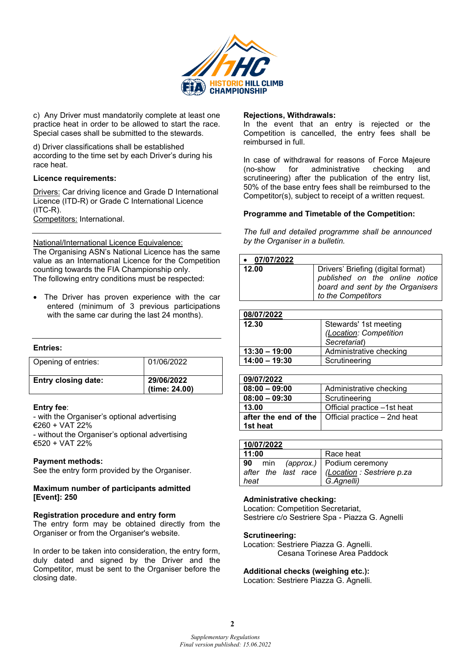

c) Any Driver must mandatorily complete at least one practice heat in order to be allowed to start the race. Special cases shall be submitted to the stewards.

d) Driver classifications shall be established according to the time set by each Driver's during his race heat.

#### **Licence requirements:**

**Drivers: Car driving licence and Grade D International** Licence (ITD-R) or Grade C International Licence  $(ITC-R)$ . Competitors: International.

National/International Licence Equivalence: The Organising ASN's National Licence has the same value as an International Licence for the Competition counting towards the FIA Championship only. The following entry conditions must be respected:

The Driver has proven experience with the car entered (minimum of 3 previous participations with the same car during the last 24 months).

| Entries:                   |                             |
|----------------------------|-----------------------------|
| Opening of entries:        | 01/06/2022                  |
| <b>Entry closing date:</b> | 29/06/2022<br>(time: 24.00) |

## **Entry fee**:

- with the Organiser's optional advertising €260 + VAT 22% - without the Organiser's optional advertising €520 + VAT 22%

#### **Payment methods:**

See the entry form provided by the Organiser.

#### **Maximum number of participants admitted [Event]: 250**

#### **Registration procedure and entry form**

The entry form may be obtained directly from the Organiser or from the Organiser's website.

In order to be taken into consideration, the entry form, duly dated and signed by the Driver and the Competitor, must be sent to the Organiser before the closing date.

#### **Rejections, Withdrawals:**

In the event that an entry is rejected or the Competition is cancelled, the entry fees shall be reimbursed in full.

In case of withdrawal for reasons of Force Majeure<br>(no-show for administrative checking and administrative checking and scrutineering) after the publication of the entry list, 50% of the base entry fees shall be reimbursed to the Competitor(s), subject to receipt of a written request.

#### **Programme and Timetable of the Competition:**

*The full and detailed programme shall be announced by the Organiser in a bulletin.* 

| $\bullet$ 07/07/2022 |                                                                                                                                |
|----------------------|--------------------------------------------------------------------------------------------------------------------------------|
| 12.00                | Drivers' Briefing (digital format)<br>published on the online notice<br>board and sent by the Organisers<br>to the Competitors |

| Stewards' 1st meeting   |
|-------------------------|
| (Location: Competition  |
| Secretariat)            |
| Administrative checking |
| Scrutineering           |
|                         |

| 09/07/2022           |                              |
|----------------------|------------------------------|
| $08:00 - 09:00$      | Administrative checking      |
| $08:00 - 09:30$      | Scrutineering                |
| 13.00                | Official practice -1st heat  |
| after the end of the | Official practice – 2nd heat |
| 1st heat             |                              |

| 10/07/2022            |                                                                                               |
|-----------------------|-----------------------------------------------------------------------------------------------|
| 11:00                 | Race heat                                                                                     |
| <b>90</b> min<br>heat | (approx.)   Podium ceremony<br>after the last race   (Location : Sestriere p.za<br>G.Agnelli) |

## **Administrative checking:**

Location: Competition Secretariat, Sestriere c/o Sestriere Spa - Piazza G. Agnelli

#### **Scrutineering:**

Location: Sestriere Piazza G. Agnelli. Cesana Torinese Area Paddock

## **Additional checks (weighing etc.):**

Location: Sestriere Piazza G. Agnelli.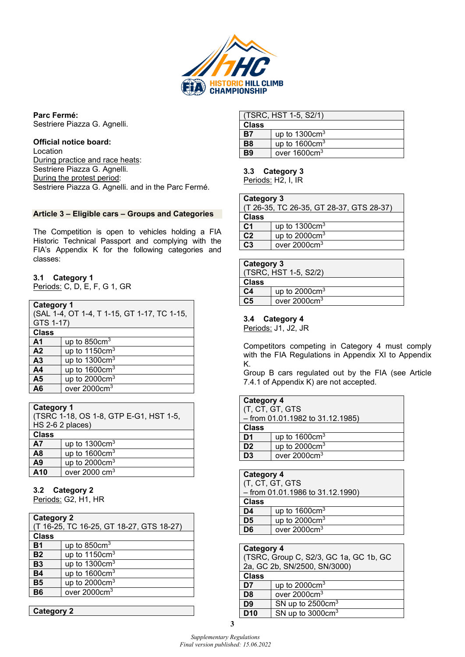

**Parc Fermé:** Sestriere Piazza G. Agnelli.

## **Official notice board:**

Location During practice and race heats: Sestriere Piazza G. Agnelli. During the protest period: Sestriere Piazza G. Agnelli. and in the Parc Fermé.

#### **Article 3 – Eligible cars – Groups and Categories**

The Competition is open to vehicles holding a FIA Historic Technical Passport and complying with the FIA's Appendix K for the following categories and classes:

## **3.1 Category 1**

Periods: C, D, E, F, G 1, GR

| <b>Category 1</b><br>(SAL 1-4, OT 1-4, T 1-15, GT 1-17, TC 1-15,<br>GTS 1-17) |                          |
|-------------------------------------------------------------------------------|--------------------------|
| <b>Class</b>                                                                  |                          |
| A <sub>1</sub>                                                                | up to $850 \text{cm}^3$  |
| A <sub>2</sub>                                                                | up to $1150 \text{cm}^3$ |
| A <sub>3</sub>                                                                | up to $1300 \text{cm}^3$ |
| A <sub>4</sub>                                                                | up to $1600 \text{cm}^3$ |
| A <sub>5</sub>                                                                | up to $2000 \text{cm}^3$ |
| A6                                                                            | over 2000cm <sup>3</sup> |

## **Category 1**

| (TSRC 1-18, OS 1-8, GTP E-G1, HST 1-5,<br>HS 2-6 2 places) |                          |
|------------------------------------------------------------|--------------------------|
| <b>Class</b>                                               |                          |
| <b>A7</b>                                                  | up to $1300 \text{cm}^3$ |
| A <sub>8</sub>                                             | up to $1600 \text{cm}^3$ |
| A9                                                         | up to $2000 \text{cm}^3$ |
| A <sub>10</sub>                                            | over $2000 \text{ cm}^3$ |

#### **3.2 Category 2**

Periods: G2, H1, HR

| <b>Category 2</b><br>(T 16-25, TC 16-25, GT 18-27, GTS 18-27) |                          |
|---------------------------------------------------------------|--------------------------|
| <b>Class</b>                                                  |                          |
| <b>B1</b>                                                     | up to $850 \text{cm}^3$  |
| <b>B2</b>                                                     | up to $1150 \text{cm}^3$ |
| <b>B3</b>                                                     | up to $1300 \text{cm}^3$ |
| <b>B4</b>                                                     | up to $1600 \text{cm}^3$ |
| <b>B5</b>                                                     | up to $2000 \text{cm}^3$ |
| Β6                                                            | over $2000 \text{cm}^3$  |
|                                                               |                          |

|--|

|                | (TSRC, HST 1-5, S2/1)    |  |
|----------------|--------------------------|--|
| <b>Class</b>   |                          |  |
| <b>B7</b>      | up to $1300 \text{cm}^3$ |  |
| B <sub>8</sub> | up to $1600 \text{cm}^3$ |  |
| Β9             | over 1600cm <sup>3</sup> |  |

#### **3.3 Category 3**

Periods: H2, I, IR

| <b>Category 3</b> |                                          |  |
|-------------------|------------------------------------------|--|
|                   | (T 26-35, TC 26-35, GT 28-37, GTS 28-37) |  |
| <b>Class</b>      |                                          |  |
| C <sub>1</sub>    | up to $1300 \text{cm}^3$                 |  |
| C <sub>2</sub>    | up to $2000 \text{cm}^3$                 |  |
| C <sub>3</sub>    | over $2000 \text{cm}^3$                  |  |
|                   |                                          |  |

|              | <b>Category 3</b>                  |  |
|--------------|------------------------------------|--|
|              | (TSRC, HST 1-5, S2/2)              |  |
| <b>Class</b> |                                    |  |
| C4           | up to 2000 $cm^3$                  |  |
| C5           | over $2000 \overline{\text{cm}^3}$ |  |

#### **3.4 Category 4**

Periods: J1, J2, JR

Competitors competing in Category 4 must comply with the FIA Regulations in Appendix XI to Appendix K.

Group B cars regulated out by the FIA (see Article 7.4.1 of Appendix K) are not accepted.

| <b>Category 4</b><br>(T, CT, GT, GTS<br>$-$ from 01.01.1982 to 31.12.1985) |                          |
|----------------------------------------------------------------------------|--------------------------|
| <b>Class</b>                                                               |                          |
| D <sub>1</sub>                                                             | up to $1600 \text{cm}^3$ |
| D <sub>2</sub>                                                             | up to $2000 \text{cm}^3$ |
| D <sub>3</sub>                                                             | over 2000cm <sup>3</sup> |
|                                                                            |                          |

| <b>Category 4</b>                  |                          |  |
|------------------------------------|--------------------------|--|
| (T, CT, GT, GTS                    |                          |  |
| $-$ from 01.01.1986 to 31.12.1990) |                          |  |
| <b>Class</b>                       |                          |  |
| D <sub>4</sub>                     | up to $1600 \text{cm}^3$ |  |
| D <sub>5</sub>                     | up to $2000 \text{cm}^3$ |  |
| D <sub>6</sub>                     | over 2000cm <sup>3</sup> |  |
|                                    |                          |  |

#### **Category 4** (TSRC, Group C, S2/3, GC 1a, GC 1b, GC 2a, GC 2b, SN/2500, SN/3000) **Class**  $\frac{D7}{D8}$  up to 2000cm<sup>3</sup> **D8** over 2000cm<sup>3</sup><br>**D9** SN up to 2500 SN up to 2500cm<sup>3</sup> **D10**  $\vert$  SN up to 3000cm<sup>3</sup>

**3**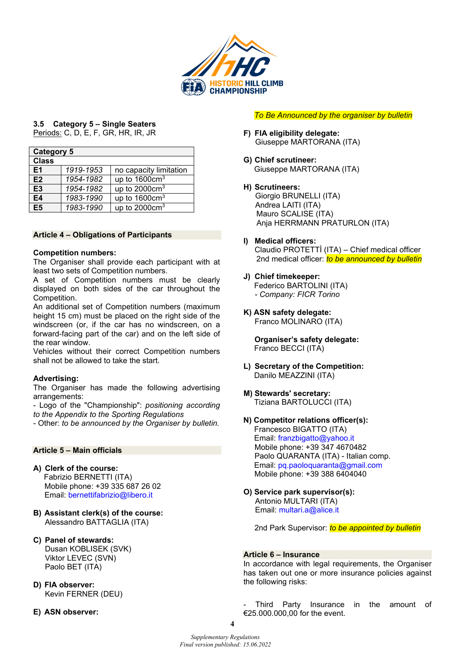

# **3.5 Category 5 – Single Seaters**

| <u>Periods:</u> C, D, E, F, GR, HR, IR, JR |  |  |  |  |
|--------------------------------------------|--|--|--|--|
|                                            |  |  |  |  |

| <b>Category 5</b> |           |                          |  |
|-------------------|-----------|--------------------------|--|
| <b>Class</b>      |           |                          |  |
| E1                | 1919-1953 | no capacity limitation   |  |
| E2                | 1954-1982 | up to $1600 \text{cm}^3$ |  |
| E <sub>3</sub>    | 1954-1982 | up to $2000 \text{cm}^3$ |  |
| E4                | 1983-1990 | up to $1600 \text{cm}^3$ |  |
| E5                | 1983-1990 | up to $2000 \text{cm}^3$ |  |

## **Article 4 – Obligations of Participants**

#### **Competition numbers:**

The Organiser shall provide each participant with at least two sets of Competition numbers.

A set of Competition numbers must be clearly displayed on both sides of the car throughout the Competition.

An additional set of Competition numbers (maximum height 15 cm) must be placed on the right side of the windscreen (or, if the car has no windscreen, on a forward-facing part of the car) and on the left side of the rear window.

Vehicles without their correct Competition numbers shall not be allowed to take the start.

## **Advertising:**

The Organiser has made the following advertising arrangements:

- Logo of the "Championship": *positioning according to the Appendix to the Sporting Regulations*

- Other: *to be announced by the Organiser by bulletin.*

#### **Article 5 – Main officials**

- **A) Clerk of the course:**  Fabrizio BERNETTI (ITA) Mobile phone: +39 335 687 26 02 Email: [bernettifabrizio@libero.it](mailto:bernettifabrizio@libero.it)
- **B) Assistant clerk(s) of the course:**  Alessandro BATTAGLIA (ITA)
- **C) Panel of stewards:**  Dusan KOBLISEK (SVK) Viktor LEVEC (SVN) Paolo BET (ITA)
- **D) FIA observer:** Kevin FERNER (DEU)

**E) ASN observer:**

*To Be Announced by the organiser by bulletin*

- **F) FIA eligibility delegate:** Giuseppe MARTORANA (ITA)
- **G) Chief scrutineer:**  Giuseppe MARTORANA (ITA)
- **H) Scrutineers:**

Giorgio BRUNELLI (ITA) Andrea LAITI (ITA) Mauro SCALISE (ITA) Anja HERRMANN PRATURLON (ITA)

- **I) Medical officers:**  Claudio PROTETTÌ (ITA) – Chief medical officer 2nd medical officer: *to be announced by bulletin*
- **J) Chief timekeeper:** Federico BARTOLINI (ITA)
	- *Company: FICR Torino*
- **K) ASN safety delegate:**  Franco MOLINARO (ITA)

**Organiser's safety delegate:**  Franco BECCI (ITA)

- **L) Secretary of the Competition:**  Danilo MEAZZINI (ITA)
- **M) Stewards' secretary:** Tiziana BARTOLUCCI (ITA)
- **N) Competitor relations officer(s):**  Francesco BIGATTO (ITA) Email: [franzbigatto@yahoo.it](mailto:franzbigatto@yahoo.it)  Mobile phone: +39 347 4670482 Paolo QUARANTA (ITA) - Italian comp. Email: [pq.paoloquaranta@gmail.com](mailto:pq.paoloquaranta@gmail.com)  Mobile phone: +39 388 6404040
- **O) Service park supervisor(s):**  Antonio MULTARI (ITA) Email: [multari.a@alice.it](mailto:multari.a@alice.it)

2nd Park Supervisor: *to be appointed by bulletin*

#### **Article 6 – Insurance**

In accordance with legal requirements, the Organiser has taken out one or more insurance policies against the following risks:

Third Party Insurance in the amount of €25.000.000,00 for the event.